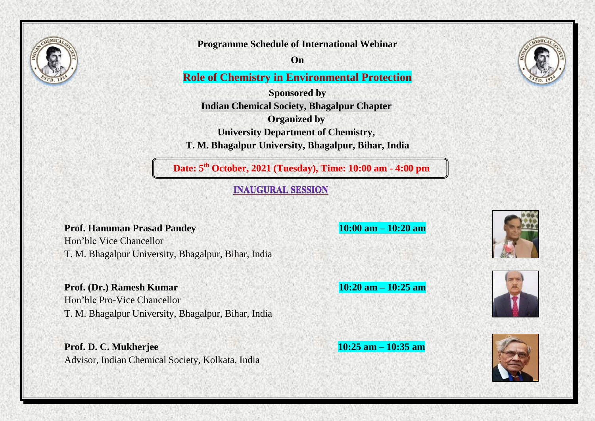

**Programme Schedule of International Webinar**

**On**

**Role of Chemistry in Environmental Protection**

**Sponsored by Indian Chemical Society, Bhagalpur Chapter Organized by University Department of Chemistry, T. M. Bhagalpur University, Bhagalpur, Bihar, India**

**Date: 5 th October, 2021 (Tuesday), Time: 10:00 am - 4:00 pm**

**INAUGURAL SESSION** 

**Prof. Hanuman Prasad Pandey 10:00 am – 10:20 am**

Hon'ble Vice Chancellor T. M. Bhagalpur University, Bhagalpur, Bihar, India

**Prof. (Dr.) Ramesh Kumar 10:20 am – 10:25 am**

Hon'ble Pro-Vice Chancellor T. M. Bhagalpur University, Bhagalpur, Bihar, India

**Prof. D. C. Mukherjee 10:25 am – 10:35 am** Advisor, Indian Chemical Society, Kolkata, India









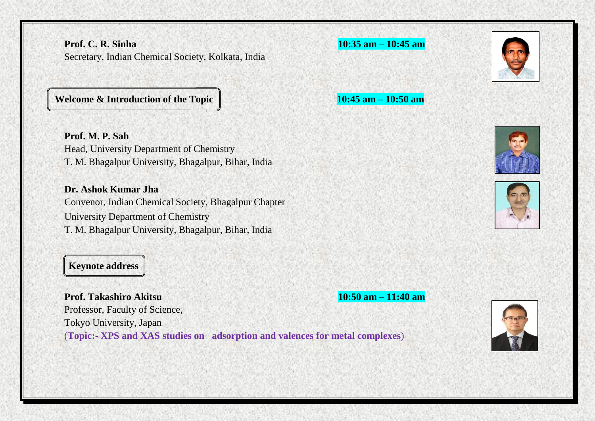**Prof. C. R. Sinha 10:35 am – 10:45 am** Secretary, Indian Chemical Society, Kolkata, India

**Welcome & Introduction** of the **Topic** 10:45 **am**  $\frac{10:45 \text{ am}}{10:45 \text{ am}} - 10:50 \text{ am}}$ 

**Prof. M. P. Sah** Head, University Department of Chemistry T. M. Bhagalpur University, Bhagalpur, Bihar, India

**Dr. Ashok Kumar Jha** Convenor, Indian Chemical Society, Bhagalpur Chapter University Department of Chemistry T. M. Bhagalpur University, Bhagalpur, Bihar, India

## **Keynote address**

**Prof. Takashiro Akitsu 10:50 am – 11:40 am** Professor, Faculty of Science, Tokyo University, Japan (**Topic:- XPS and XAS studies on adsorption and valences for metal complexes**)













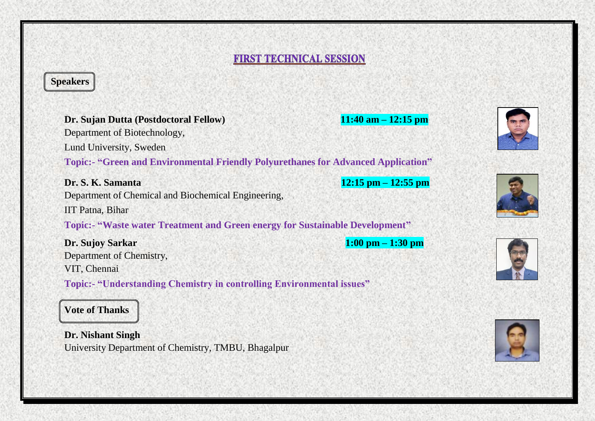## **FIRST TECHNICAL SESSION**

## **Speakers**

| Dr. Sujan Dutta (Postdoctoral Fellow)<br>Department of Biotechnology,                    | $11:40$ am $-12:15$ pm |
|------------------------------------------------------------------------------------------|------------------------|
| Lund University, Sweden                                                                  |                        |
| <b>Topic:- "Green and Environmental Friendly Polyurethanes for Advanced Application"</b> |                        |
| Dr. S. K. Samanta                                                                        | $12:15$ pm $-12:55$ pm |
| Department of Chemical and Biochemical Engineering,                                      |                        |
| IIT Patna, Bihar                                                                         |                        |
| <b>Topic:- "Waste water Treatment and Green energy for Sustainable Development"</b>      |                        |
| Dr. Sujoy Sarkar                                                                         | $1:00$ pm $-1:30$ pm   |
| Department of Chemistry,                                                                 |                        |
| VIT, Chennai                                                                             |                        |
| <b>Topic:- "Understanding Chemistry in controlling Environmental issues"</b>             |                        |
| <b>Vote of Thanks</b>                                                                    |                        |

**Dr. Nishant Singh** University Department of Chemistry, TMBU, Bhagalpur